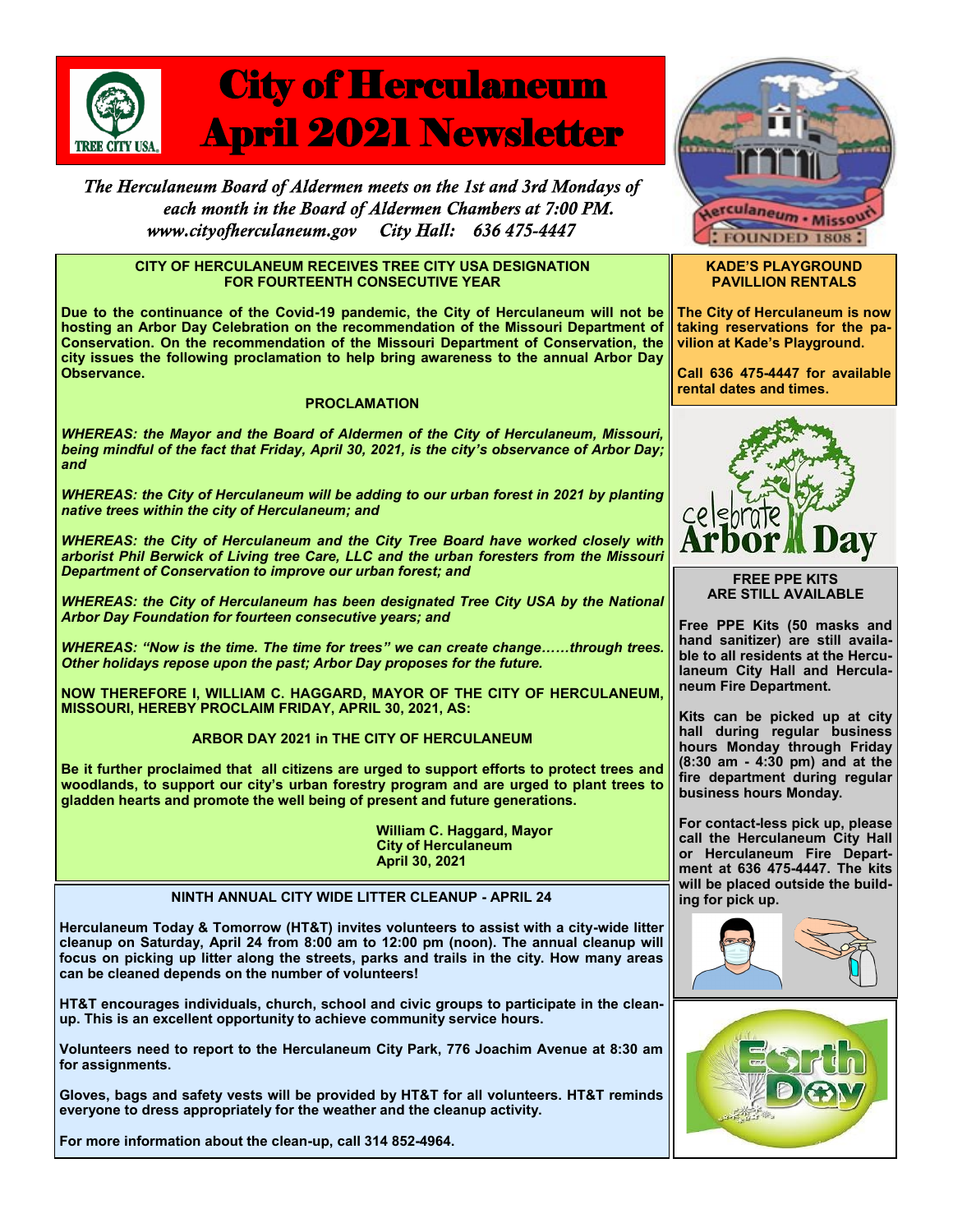

# City of Herculaneum April 2021 Newsletter

The Herculaneum Board of Aldermen meets on the 1st and 3rd Mondays of each month in the Board of Aldermen Chambers at 7:00 PM. www.cityofherculaneum.gov City Hall: 636 475-4447

#### **CITY OF HERCULANEUM RECEIVES TREE CITY USA DESIGNATION FOR FOURTEENTH CONSECUTIVE YEAR**

**Due to the continuance of the Covid-19 pandemic, the City of Herculaneum will not be hosting an Arbor Day Celebration on the recommendation of the Missouri Department of Conservation. On the recommendation of the Missouri Department of Conservation, the city issues the following proclamation to help bring awareness to the annual Arbor Day Observance.**

#### **PROCLAMATION**

*WHEREAS: the Mayor and the Board of Aldermen of the City of Herculaneum, Missouri, being mindful of the fact that Friday, April 30, 2021, is the city's observance of Arbor Day; and*

*WHEREAS: the City of Herculaneum will be adding to our urban forest in 2021 by planting native trees within the city of Herculaneum; and*

*WHEREAS: the City of Herculaneum and the City Tree Board have worked closely with arborist Phil Berwick of Living tree Care, LLC and the urban foresters from the Missouri Department of Conservation to improve our urban forest; and*

WHEREAS: the City of Herculaneum has been designated Tree City USA by the National *Arbor Day Foundation for fourteen consecutive years; and*

*WHEREAS: "Now is the time. The time for trees" we can create change……through trees. Other holidays repose upon the past; Arbor Day proposes for the future.*

**NOW THEREFORE I, WILLIAM C. HAGGARD, MAYOR OF THE CITY OF HERCULANEUM, MISSOURI, HEREBY PROCLAIM FRIDAY, APRIL 30, 2021, AS:**

# **ARBOR DAY 2021 in THE CITY OF HERCULANEUM**

**Be it further proclaimed that all citizens are urged to support efforts to protect trees and woodlands, to support our city's urban forestry program and are urged to plant trees to gladden hearts and promote the well being of present and future generations.**

> **William C. Haggard, Mayor City of Herculaneum April 30, 2021**

# **NINTH ANNUAL CITY WIDE LITTER CLEANUP - APRIL 24**

**Herculaneum Today & Tomorrow (HT&T) invites volunteers to assist with a city-wide litter cleanup on Saturday, April 24 from 8:00 am to 12:00 pm (noon). The annual cleanup will focus on picking up litter along the streets, parks and trails in the city. How many areas can be cleaned depends on the number of volunteers!**

**HT&T encourages individuals, church, school and civic groups to participate in the cleanup. This is an excellent opportunity to achieve community service hours.**

**Volunteers need to report to the Herculaneum City Park, 776 Joachim Avenue at 8:30 am for assignments.** 

**Gloves, bags and safety vests will be provided by HT&T for all volunteers. HT&T reminds everyone to dress appropriately for the weather and the cleanup activity.**

**For more information about the clean-up, call 314 852-4964.**



#### **KADE'S PLAYGROUND PAVILLION RENTALS**

**The City of Herculaneum is now taking reservations for the pavilion at Kade's Playground.**

**Call 636 475-4447 for available rental dates and times.**



**FREE PPE KITS ARE STILL AVAILABLE**

**Free PPE Kits (50 masks and hand sanitizer) are still available to all residents at the Herculaneum City Hall and Herculaneum Fire Department.**

**Kits can be picked up at city hall during regular business hours Monday through Friday (8:30 am - 4:30 pm) and at the fire department during regular business hours Monday.**

**For contact-less pick up, please call the Herculaneum City Hall or Herculaneum Fire Department at 636 475-4447. The kits will be placed outside the building for pick up.**